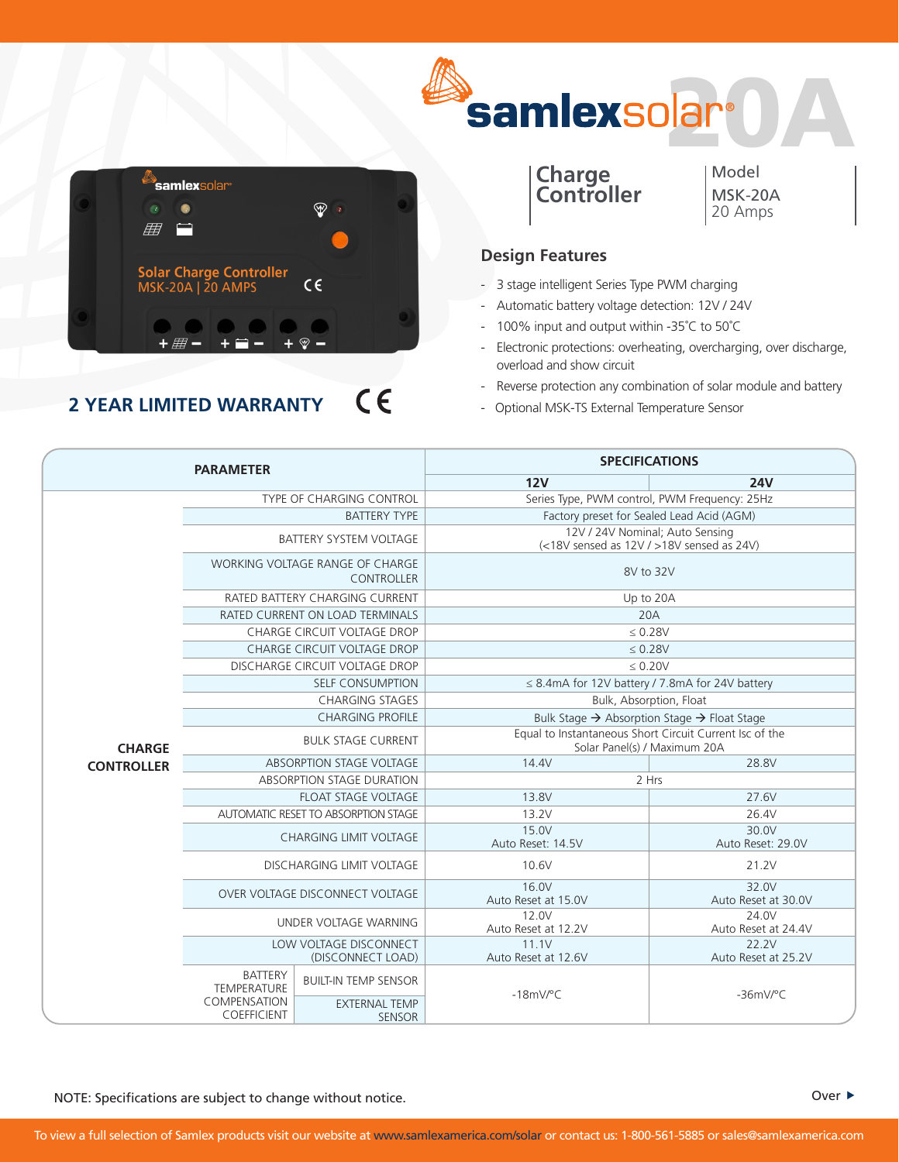



## $C \in$ **2 YEAR LIMITED WARRANTY**



Model MSK-20A 20 Amps

## **Design Features**

- 3 stage intelligent Series Type PWM charging
- Automatic battery voltage detection: 12V / 24V
- 100% input and output within -35˚C to 50˚C
- Electronic protections: overheating, overcharging, over discharge, overload and show circuit
- Reverse protection any combination of solar module and battery
- Optional MSK-TS External Temperature Sensor

| <b>PARAMETER</b>  |                                                      | <b>SPECIFICATIONS</b>                 |                                                                                         |                              |
|-------------------|------------------------------------------------------|---------------------------------------|-----------------------------------------------------------------------------------------|------------------------------|
|                   |                                                      | 12V                                   | <b>24V</b>                                                                              |                              |
| <b>CHARGE</b>     | <b>TYPE OF CHARGING CONTROL</b>                      |                                       | Series Type, PWM control, PWM Frequency: 25Hz                                           |                              |
|                   | <b>BATTERY TYPE</b>                                  |                                       | Factory preset for Sealed Lead Acid (AGM)                                               |                              |
|                   | <b>BATTERY SYSTEM VOLTAGE</b>                        |                                       | 12V / 24V Nominal; Auto Sensing<br>(<18V sensed as 12V / >18V sensed as 24V)            |                              |
|                   | <b>WORKING VOLTAGE RANGE OF CHARGE</b><br>CONTROLLER |                                       | 8V to 32V                                                                               |                              |
|                   | RATED BATTERY CHARGING CURRENT                       |                                       | Up to 20A                                                                               |                              |
|                   | RATED CURRENT ON LOAD TERMINALS                      |                                       | 20A                                                                                     |                              |
|                   | <b>CHARGE CIRCUIT VOLTAGE DROP</b>                   |                                       | $\leq 0.28V$                                                                            |                              |
|                   | CHARGE CIRCUIT VOLTAGE DROP                          |                                       | $\leq 0.28V$                                                                            |                              |
|                   | DISCHARGE CIRCUIT VOLTAGE DROP                       |                                       | $\leq 0.20V$                                                                            |                              |
|                   | <b>SELF CONSUMPTION</b>                              |                                       | $\leq$ 8.4mA for 12V battery / 7.8mA for 24V battery                                    |                              |
|                   | <b>CHARGING STAGES</b>                               |                                       | Bulk, Absorption, Float                                                                 |                              |
|                   | <b>CHARGING PROFILE</b>                              |                                       | Bulk Stage $\rightarrow$ Absorption Stage $\rightarrow$ Float Stage                     |                              |
|                   | <b>BULK STAGE CURRENT</b>                            |                                       | Equal to Instantaneous Short Circuit Current Isc of the<br>Solar Panel(s) / Maximum 20A |                              |
| <b>CONTROLLER</b> | <b>ABSORPTION STAGE VOLTAGE</b>                      |                                       | 14.4V                                                                                   | 28.8V                        |
|                   | ABSORPTION STAGE DURATION                            |                                       | 2 Hrs                                                                                   |                              |
|                   | <b>FLOAT STAGE VOLTAGE</b>                           |                                       | 13.8V                                                                                   | 27.6V                        |
|                   | AUTOMATIC RESET TO ABSORPTION STAGE                  |                                       | 13.2V                                                                                   | 26.4V                        |
|                   | CHARGING LIMIT VOLTAGE                               |                                       | 15.0V<br>Auto Reset: 14.5V                                                              | 30.0V<br>Auto Reset: 29.0V   |
|                   | <b>DISCHARGING LIMIT VOLTAGE</b>                     |                                       | 10.6V                                                                                   | 21.2V                        |
|                   | OVER VOLTAGE DISCONNECT VOLTAGE                      |                                       | 16.0V<br>Auto Reset at 15.0V                                                            | 32.0V<br>Auto Reset at 30.0V |
|                   | UNDER VOLTAGE WARNING                                |                                       | 12.0V<br>Auto Reset at 12.2V                                                            | 24.0V<br>Auto Reset at 24.4V |
|                   | LOW VOLTAGE DISCONNECT<br>(DISCONNECT LOAD)          |                                       | 11.1V<br>Auto Reset at 12.6V                                                            | 22.2V<br>Auto Reset at 25.2V |
|                   | <b>BATTERY</b><br><b>TEMPERATURE</b>                 | <b>BUILT-IN TEMP SENSOR</b>           | $-18$ mV/°C                                                                             | $-36mV$ <sup>o</sup> C       |
|                   | COMPENSATION<br>COEFFICIENT                          | <b>EXTERNAL TEMP</b><br><b>SENSOR</b> |                                                                                         |                              |

NOTE: Specifications are subject to change without notice.  $\blacksquare$